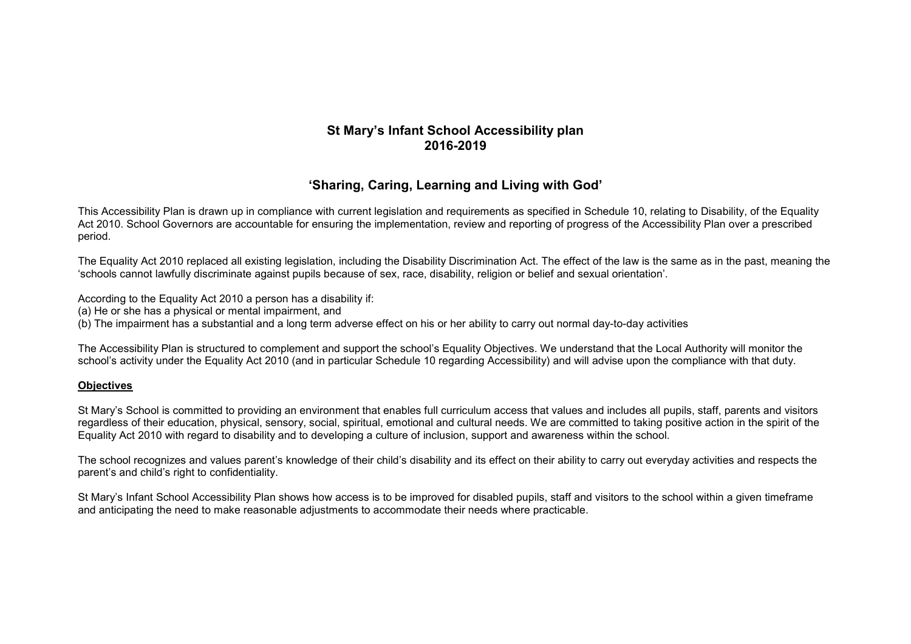## **St Mary's Infant School Accessibility plan 2016-2019**

# **'Sharing, Caring, Learning and Living with God'**

This Accessibility Plan is drawn up in compliance with current legislation and requirements as specified in Schedule 10, relating to Disability, of the Equality Act 2010. School Governors are accountable for ensuring the implementation, review and reporting of progress of the Accessibility Plan over a prescribed period.

The Equality Act 2010 replaced all existing legislation, including the Disability Discrimination Act. The effect of the law is the same as in the past, meaning the 'schools cannot lawfully discriminate against pupils because of sex, race, disability, religion or belief and sexual orientation'.

According to the Equality Act 2010 a person has a disability if:

(a) He or she has a physical or mental impairment, and

(b) The impairment has a substantial and a long term adverse effect on his or her ability to carry out normal day-to-day activities

The Accessibility Plan is structured to complement and support the school's Equality Objectives. We understand that the Local Authority will monitor the school's activity under the Equality Act 2010 (and in particular Schedule 10 regarding Accessibility) and will advise upon the compliance with that duty.

### **Objectives**

St Mary's School is committed to providing an environment that enables full curriculum access that values and includes all pupils, staff, parents and visitors regardless of their education, physical, sensory, social, spiritual, emotional and cultural needs. We are committed to taking positive action in the spirit of the Equality Act 2010 with regard to disability and to developing a culture of inclusion, support and awareness within the school.

The school recognizes and values parent's knowledge of their child's disability and its effect on their ability to carry out everyday activities and respects the parent's and child's right to confidentiality.

St Mary's Infant School Accessibility Plan shows how access is to be improved for disabled pupils, staff and visitors to the school within a given timeframe and anticipating the need to make reasonable adjustments to accommodate their needs where practicable.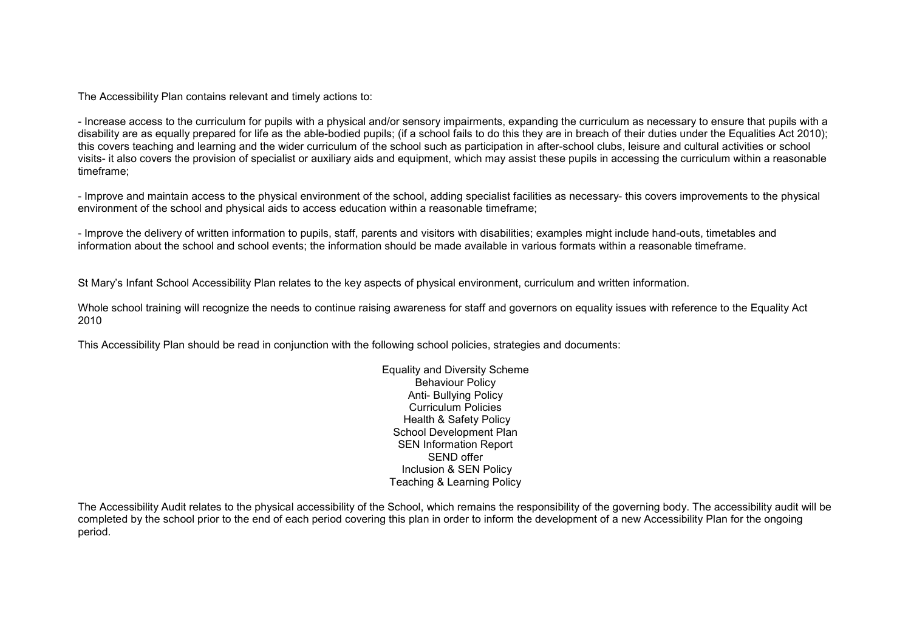The Accessibility Plan contains relevant and timely actions to:

- Increase access to the curriculum for pupils with a physical and/or sensory impairments, expanding the curriculum as necessary to ensure that pupils with a disability are as equally prepared for life as the able-bodied pupils; (if a school fails to do this they are in breach of their duties under the Equalities Act 2010); this covers teaching and learning and the wider curriculum of the school such as participation in after-school clubs, leisure and cultural activities or school visits- it also covers the provision of specialist or auxiliary aids and equipment, which may assist these pupils in accessing the curriculum within a reasonable timeframe;

- Improve and maintain access to the physical environment of the school, adding specialist facilities as necessary- this covers improvements to the physical environment of the school and physical aids to access education within a reasonable timeframe;

- Improve the delivery of written information to pupils, staff, parents and visitors with disabilities; examples might include hand-outs, timetables and information about the school and school events; the information should be made available in various formats within a reasonable timeframe.

St Mary's Infant School Accessibility Plan relates to the key aspects of physical environment, curriculum and written information.

Whole school training will recognize the needs to continue raising awareness for staff and governors on equality issues with reference to the Equality Act 2010

This Accessibility Plan should be read in conjunction with the following school policies, strategies and documents:

Equality and Diversity Scheme Behaviour Policy Anti- Bullying Policy Curriculum Policies Health & Safety Policy School Development Plan SEN Information Report SEND offer Inclusion & SEN Policy Teaching & Learning Policy

The Accessibility Audit relates to the physical accessibility of the School, which remains the responsibility of the governing body. The accessibility audit will be completed by the school prior to the end of each period covering this plan in order to inform the development of a new Accessibility Plan for the ongoingperiod.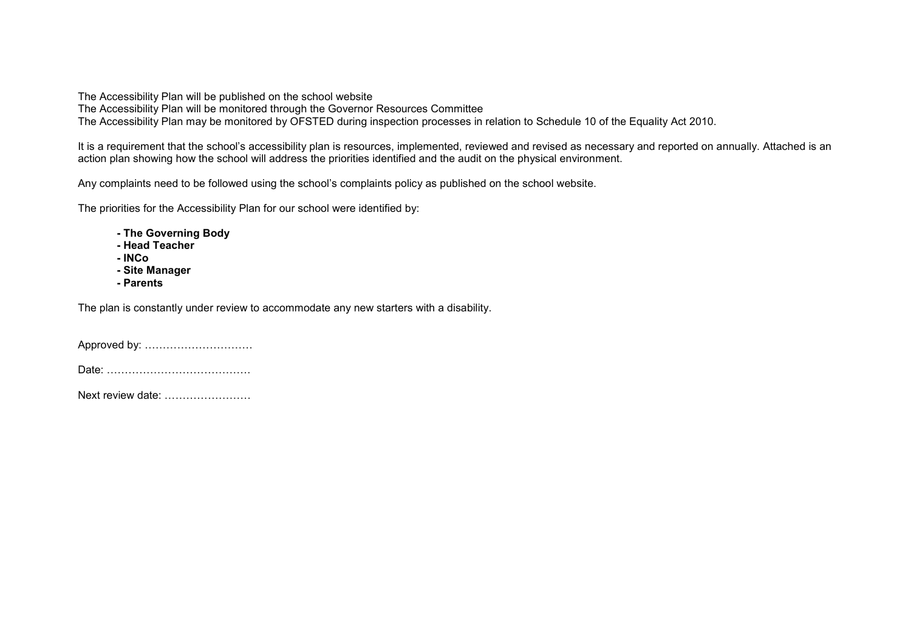The Accessibility Plan will be published on the school website

The Accessibility Plan will be monitored through the Governor Resources Committee

The Accessibility Plan may be monitored by OFSTED during inspection processes in relation to Schedule 10 of the Equality Act 2010.

It is a requirement that the school's accessibility plan is resources, implemented, reviewed and revised as necessary and reported on annually. Attached is an action plan showing how the school will address the priorities identified and the audit on the physical environment.

Any complaints need to be followed using the school's complaints policy as published on the school website.

The priorities for the Accessibility Plan for our school were identified by:

- **The Governing Body**
- **Head Teacher**
- **INCo**
- **Site Manager** 
	- **Parents**

The plan is constantly under review to accommodate any new starters with a disability.

Approved by: …………………………

Date: ………………………………….

Next review date: ……………………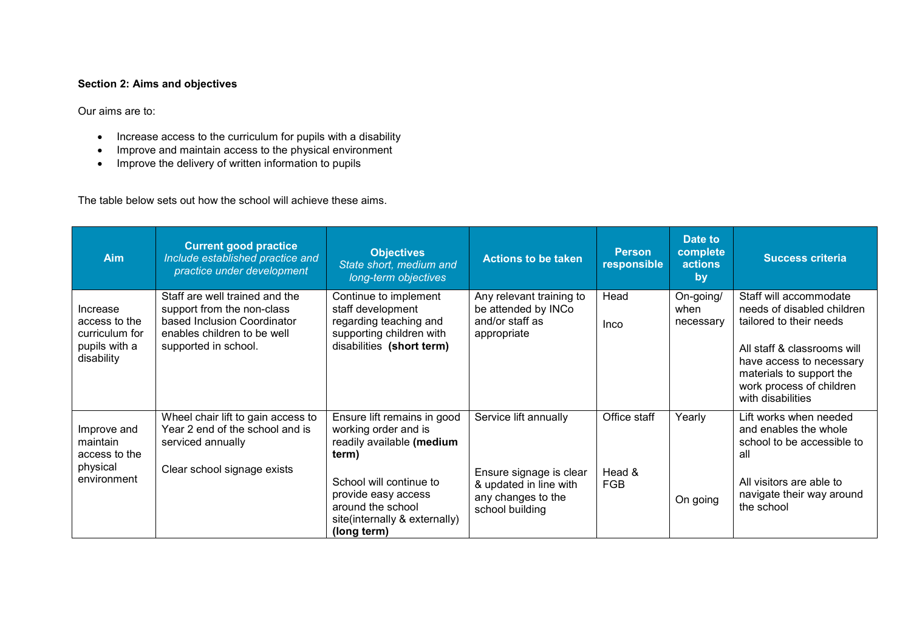### **Section 2: Aims and objectives**

Our aims are to:

- 
- Increase access to the curriculum for pupils with a disability Improve and maintain access to the physical environment Improve the delivery of written information to pupils
- 

The table below sets out how the school will achieve these aims.

| <b>Aim</b>                                                                 | <b>Current good practice</b><br>Include established practice and<br>practice under development                                                     | <b>Objectives</b><br>State short, medium and<br>long-term objectives                                                                                                                                             | <b>Actions to be taken</b>                                                                                          | <b>Person</b><br>responsible         | Date to<br>complete<br>actions<br>by | <b>Success criteria</b>                                                                                                                                                                                                 |
|----------------------------------------------------------------------------|----------------------------------------------------------------------------------------------------------------------------------------------------|------------------------------------------------------------------------------------------------------------------------------------------------------------------------------------------------------------------|---------------------------------------------------------------------------------------------------------------------|--------------------------------------|--------------------------------------|-------------------------------------------------------------------------------------------------------------------------------------------------------------------------------------------------------------------------|
| Increase<br>access to the<br>curriculum for<br>pupils with a<br>disability | Staff are well trained and the<br>support from the non-class<br>based Inclusion Coordinator<br>enables children to be well<br>supported in school. | Continue to implement<br>staff development<br>regarding teaching and<br>supporting children with<br>disabilities (short term)                                                                                    | Any relevant training to<br>be attended by INCo<br>and/or staff as<br>appropriate                                   | Head<br>Inco                         | On-going/<br>when<br>necessary       | Staff will accommodate<br>needs of disabled children<br>tailored to their needs<br>All staff & classrooms will<br>have access to necessary<br>materials to support the<br>work process of children<br>with disabilities |
| Improve and<br>maintain<br>access to the<br>physical<br>environment        | Wheel chair lift to gain access to<br>Year 2 end of the school and is<br>serviced annually<br>Clear school signage exists                          | Ensure lift remains in good<br>working order and is<br>readily available (medium<br>term)<br>School will continue to<br>provide easy access<br>around the school<br>site(internally & externally)<br>(long term) | Service lift annually<br>Ensure signage is clear<br>& updated in line with<br>any changes to the<br>school building | Office staff<br>Head &<br><b>FGB</b> | Yearly<br>On going                   | Lift works when needed<br>and enables the whole<br>school to be accessible to<br>all<br>All visitors are able to<br>navigate their way around<br>the school                                                             |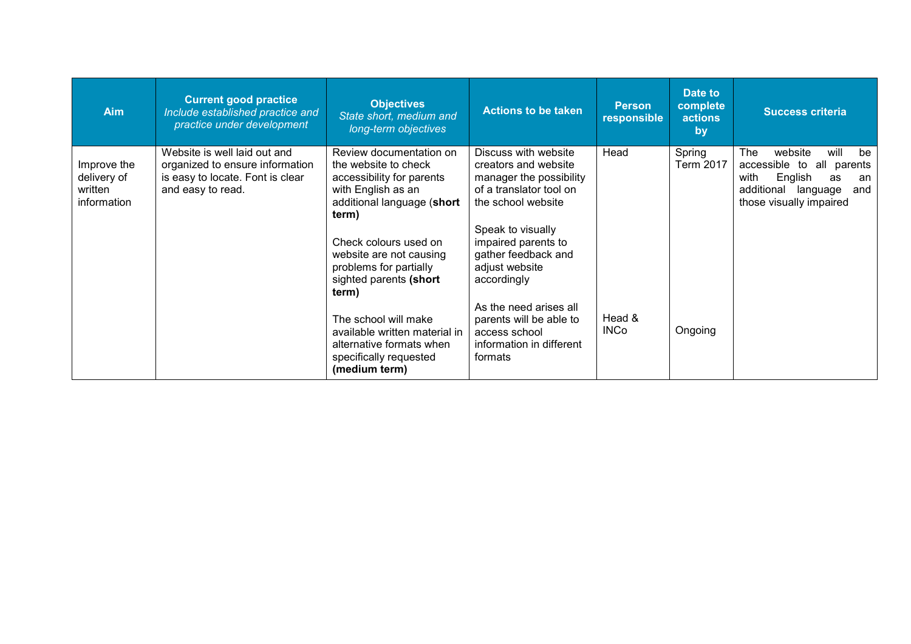| <b>Aim</b>                                           | <b>Current good practice</b><br>Include established practice and<br>practice under development                           | <b>Objectives</b><br>State short, medium and<br>long-term objectives                                                                      | <b>Actions to be taken</b>                                                                                               | <b>Person</b><br>responsible | Date to<br>complete<br><b>actions</b><br>by | <b>Success criteria</b>                                                                                                                              |
|------------------------------------------------------|--------------------------------------------------------------------------------------------------------------------------|-------------------------------------------------------------------------------------------------------------------------------------------|--------------------------------------------------------------------------------------------------------------------------|------------------------------|---------------------------------------------|------------------------------------------------------------------------------------------------------------------------------------------------------|
| Improve the<br>delivery of<br>written<br>information | Website is well laid out and<br>organized to ensure information<br>is easy to locate. Font is clear<br>and easy to read. | Review documentation on<br>the website to check<br>accessibility for parents<br>with English as an<br>additional language (short<br>term) | Discuss with website<br>creators and website<br>manager the possibility<br>of a translator tool on<br>the school website | Head                         | Spring<br><b>Term 2017</b>                  | The<br>website<br>will<br>be<br>accessible to all parents<br>with<br>English<br>as<br>an<br>additional<br>language<br>and<br>those visually impaired |
|                                                      |                                                                                                                          | Check colours used on<br>website are not causing<br>problems for partially<br>sighted parents (short<br>term)                             | Speak to visually<br>impaired parents to<br>gather feedback and<br>adjust website<br>accordingly                         |                              |                                             |                                                                                                                                                      |
|                                                      |                                                                                                                          | The school will make<br>available written material in<br>alternative formats when<br>specifically requested<br>(medium term)              | As the need arises all<br>parents will be able to<br>access school<br>information in different<br>formats                | Head &<br><b>INCo</b>        | Ongoing                                     |                                                                                                                                                      |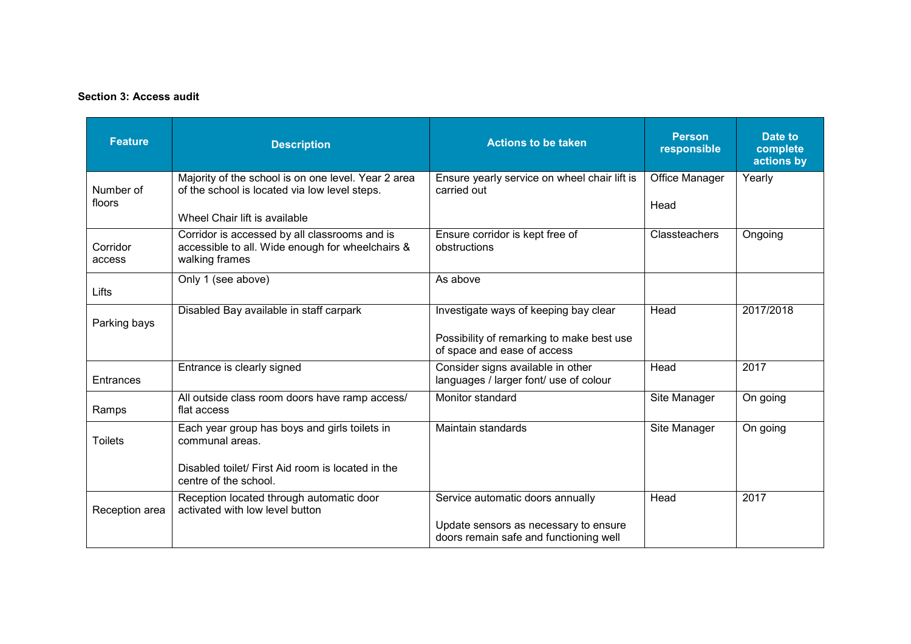#### **Section 3: Access audit**

| <b>Feature</b>      | <b>Description</b>                                                                                                  | <b>Actions to be taken</b>                                                      | <b>Person</b><br>responsible | Date to<br>complete<br>actions by |
|---------------------|---------------------------------------------------------------------------------------------------------------------|---------------------------------------------------------------------------------|------------------------------|-----------------------------------|
| Number of<br>floors | Majority of the school is on one level. Year 2 area<br>of the school is located via low level steps.                | Ensure yearly service on wheel chair lift is<br>carried out                     | Office Manager<br>Head       | Yearly                            |
|                     | Wheel Chair lift is available                                                                                       |                                                                                 |                              |                                   |
| Corridor<br>access  | Corridor is accessed by all classrooms and is<br>accessible to all. Wide enough for wheelchairs &<br>walking frames | Ensure corridor is kept free of<br>obstructions                                 | <b>Classteachers</b>         | Ongoing                           |
| Lifts               | Only 1 (see above)                                                                                                  | As above                                                                        |                              |                                   |
| Parking bays        | Disabled Bay available in staff carpark                                                                             | Investigate ways of keeping bay clear                                           | Head                         | 2017/2018                         |
|                     |                                                                                                                     | Possibility of remarking to make best use<br>of space and ease of access        |                              |                                   |
| Entrances           | Entrance is clearly signed                                                                                          | Consider signs available in other<br>languages / larger font/ use of colour     | Head                         | 2017                              |
| Ramps               | All outside class room doors have ramp access/<br>flat access                                                       | Monitor standard                                                                | Site Manager                 | On going                          |
| <b>Toilets</b>      | Each year group has boys and girls toilets in<br>communal areas.                                                    | Maintain standards                                                              | Site Manager                 | On going                          |
|                     | Disabled toilet/ First Aid room is located in the<br>centre of the school.                                          |                                                                                 |                              |                                   |
| Reception area      | Reception located through automatic door<br>activated with low level button                                         | Service automatic doors annually                                                | Head                         | 2017                              |
|                     |                                                                                                                     | Update sensors as necessary to ensure<br>doors remain safe and functioning well |                              |                                   |